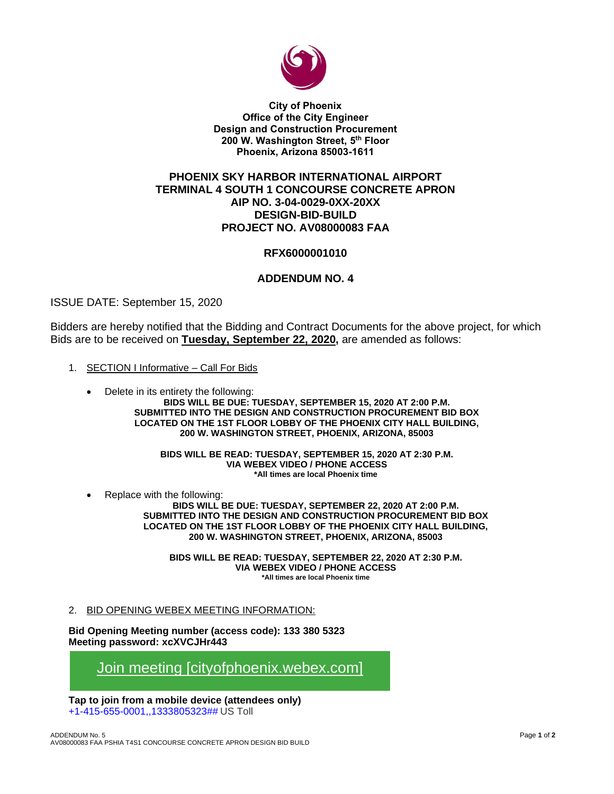

**City of Phoenix Office of the City Engineer Design and Construction Procurement 200 W. Washington Street, 5 th Floor Phoenix, Arizona 85003-1611**

## **PHOENIX SKY HARBOR INTERNATIONAL AIRPORT TERMINAL 4 SOUTH 1 CONCOURSE CONCRETE APRON AIP NO. 3-04-0029-0XX-20XX DESIGN-BID-BUILD PROJECT NO. AV08000083 FAA**

## **RFX6000001010**

## **ADDENDUM NO. 4**

ISSUE DATE: September 15, 2020

Bidders are hereby notified that the Bidding and Contract Documents for the above project, for which Bids are to be received on **Tuesday, September 22, 2020,** are amended as follows:

- 1. SECTION I Informative Call For Bids
	- Delete in its entirety the following: **BIDS WILL BE DUE: TUESDAY, SEPTEMBER 15, 2020 AT 2:00 P.M. SUBMITTED INTO THE DESIGN AND CONSTRUCTION PROCUREMENT BID BOX LOCATED ON THE 1ST FLOOR LOBBY OF THE PHOENIX CITY HALL BUILDING, 200 W. WASHINGTON STREET, PHOENIX, ARIZONA, 85003**

**BIDS WILL BE READ: TUESDAY, SEPTEMBER 15, 2020 AT 2:30 P.M. VIA WEBEX VIDEO / PHONE ACCESS \*All times are local Phoenix time**

• Replace with the following:

**BIDS WILL BE DUE: TUESDAY, SEPTEMBER 22, 2020 AT 2:00 P.M. SUBMITTED INTO THE DESIGN AND CONSTRUCTION PROCUREMENT BID BOX LOCATED ON THE 1ST FLOOR LOBBY OF THE PHOENIX CITY HALL BUILDING, 200 W. WASHINGTON STREET, PHOENIX, ARIZONA, 85003**

**BIDS WILL BE READ: TUESDAY, SEPTEMBER 22, 2020 AT 2:30 P.M. VIA WEBEX VIDEO / PHONE ACCESS \*All times are local Phoenix time**

## 2. BID OPENING WEBEX MEETING INFORMATION:

**Bid Opening Meeting number (access code): 133 380 5323 Meeting password: xcXVCJHr443**

[Join meeting \[cityofphoenix.webex.com\]](https://urldefense.com/v3/__https:/cityofphoenix.webex.com/cityofphoenix/j.php?MTID=m80774a60e2f8c73267f202d48ce66555__;!!LkjWUF49MRd51_ry!LoMtGDuWxTq_63cXbGy2VsAZDsbK0P95zCv3yJ4rpW7UvQOgcDaD7hSbaOMsPaPIckKI1DTc$)

**Tap to join from a mobile device (attendees only)** +1-415-655-0001,,1333805323## US Toll